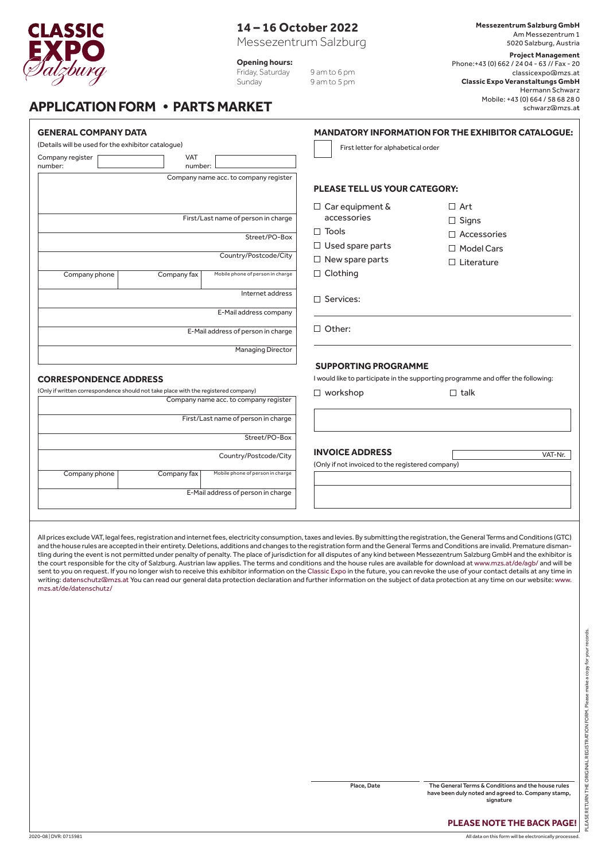

## **14 – 16 October 2022**

Messezentrum Salzburg

**Opening hours:**

Friday, Saturday 9 am to 6 pm<br>Sunday 9 am to 5 pm 9 am to 5 pm

**Project Management** Phone:+43 (0) 662 / 24 04 - 63 // Fax - 20 classicexpo@mzs.at **Classic Expo Veranstaltungs GmbH** Hermann Schwarz Mobile: +43 (0) 664 / 58 68 28 0 schwarz@mzs.at

# **APPLICATION FORM  •  PARTS MARKET**

| <b>GENERAL COMPANY DATA</b><br>(Details will be used for the exhibitor catalogue)                                           |             |                                       | <b>MANDATORY INFORMATION FOR THE EXHIBITOR CATALOGUE:</b><br>First letter for alphabetical order |                    |
|-----------------------------------------------------------------------------------------------------------------------------|-------------|---------------------------------------|--------------------------------------------------------------------------------------------------|--------------------|
|                                                                                                                             |             |                                       |                                                                                                  |                    |
|                                                                                                                             |             | Company name acc. to company register |                                                                                                  |                    |
|                                                                                                                             |             |                                       | <b>PLEASE TELL US YOUR CATEGORY:</b>                                                             |                    |
|                                                                                                                             |             |                                       | $\Box$ Car equipment &                                                                           | $\Box$ Art         |
| First/Last name of person in charge                                                                                         |             |                                       | accessories                                                                                      | $\square$ Signs    |
| Street/PO-Box                                                                                                               |             |                                       | $\Box$ Tools                                                                                     | $\Box$ Accessories |
|                                                                                                                             |             |                                       | $\Box$ Used spare parts                                                                          | □ Model Cars       |
| Country/Postcode/City                                                                                                       |             |                                       | $\Box$ New spare parts                                                                           | $\Box$ Literature  |
| Company phone                                                                                                               | Company fax | Mobile phone of person in charge      | $\Box$ Clothing                                                                                  |                    |
|                                                                                                                             |             | Internet address                      | $\Box$ Services:                                                                                 |                    |
|                                                                                                                             |             | E-Mail address company                |                                                                                                  |                    |
|                                                                                                                             |             |                                       | $\Box$ Other:                                                                                    |                    |
|                                                                                                                             |             | E-Mail address of person in charge    |                                                                                                  |                    |
|                                                                                                                             |             | <b>Managing Director</b>              |                                                                                                  |                    |
|                                                                                                                             |             |                                       | <b>SUPPORTING PROGRAMME</b>                                                                      |                    |
| <b>CORRESPONDENCE ADDRESS</b>                                                                                               |             |                                       | I would like to participate in the supporting programme and offer the following:                 |                    |
| (Only if written correspondence should not take place with the registered company)<br>Company name acc. to company register |             |                                       | $\Box$ workshop                                                                                  | $\Box$ talk        |
|                                                                                                                             |             |                                       |                                                                                                  |                    |
|                                                                                                                             |             | First/Last name of person in charge   |                                                                                                  |                    |
|                                                                                                                             |             | Street/PO-Box                         |                                                                                                  |                    |
|                                                                                                                             |             |                                       | <b>INVOICE ADDRESS</b>                                                                           |                    |
| Country/Postcode/City                                                                                                       |             |                                       | (Only if not invoiced to the registered company)                                                 | VAT-Nr.            |
| Company phone                                                                                                               | Company fax | Mobile phone of person in charge      |                                                                                                  |                    |
|                                                                                                                             |             | E-Mail address of person in charge    |                                                                                                  |                    |
|                                                                                                                             |             |                                       |                                                                                                  |                    |
|                                                                                                                             |             |                                       |                                                                                                  |                    |

All prices exclude VAT, legal fees, registration and internet fees, electricity consumption, taxes and levies. By submitting the registration, the General Terms and Conditions (GTC) and the house rules are accepted in their entirety. Deletions, additions and changes to the registration form and the GeneralTerms andConditions are invalid. Premature dismantling during the eventis not permitted under penalty of penalty. The place of jurisdiction for all disputes of any kind between Messezentrum Salzburg GmbH and the exhibitor is the court responsible for the city of Salzburg. Austrian law applies. The terms and conditions and the house rules are available for download at www.mzs.at/de/agb/ and will be sent to you on request. If you no longer wish to receive this exhibitor information on the Classic Expo in the future, you can revoke the use of your contact details at any time in writing: datenschutz@mzs.at You can read our general data protection declaration and further information on the subject of data protection at any time on our website: www. mzs.at/de/datenschutz/

Place, Date The General Terms & Conditions and the house rules have been duly noted and agreed to. Company stamp,

signature

**PLEASE NOTE THE BACK PAGE!**